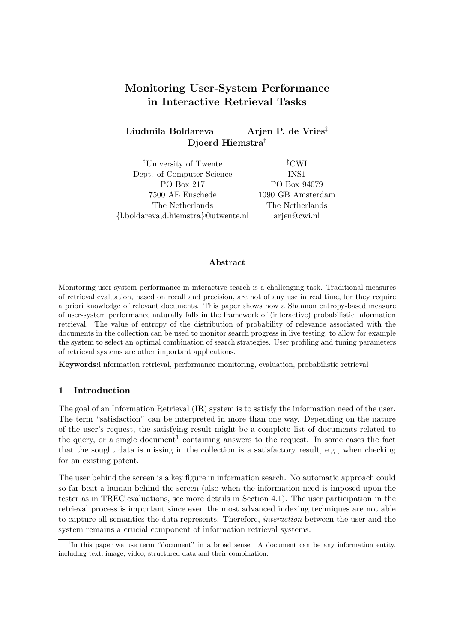# Monitoring User-System Performance in Interactive Retrieval Tasks

## Liudmila Boldareva<sup>†</sup> Arjen P. de Vries<sup>‡</sup> Djoerd Hiemstra†

†University of Twente ‡CWI Dept. of Computer Science INS1 PO Box 217 PO Box 94079 7500 AE Enschede 1090 GB Amsterdam The Netherlands The Netherlands {l.boldareva,d.hiemstra}@utwente.nl arjen@cwi.nl

#### Abstract

Monitoring user-system performance in interactive search is a challenging task. Traditional measures of retrieval evaluation, based on recall and precision, are not of any use in real time, for they require a priori knowledge of relevant documents. This paper shows how a Shannon entropy-based measure of user-system performance naturally falls in the framework of (interactive) probabilistic information retrieval. The value of entropy of the distribution of probability of relevance associated with the documents in the collection can be used to monitor search progress in live testing, to allow for example the system to select an optimal combination of search strategies. User profiling and tuning parameters of retrieval systems are other important applications.

Keywords:i nformation retrieval, performance monitoring, evaluation, probabilistic retrieval

#### 1 Introduction

The goal of an Information Retrieval (IR) system is to satisfy the information need of the user. The term "satisfaction" can be interpreted in more than one way. Depending on the nature of the user's request, the satisfying result might be a complete list of documents related to the query, or a single document<sup>1</sup> containing answers to the request. In some cases the fact that the sought data is missing in the collection is a satisfactory result, e.g., when checking for an existing patent.

The user behind the screen is a key figure in information search. No automatic approach could so far beat a human behind the screen (also when the information need is imposed upon the tester as in TREC evaluations, see more details in Section 4.1). The user participation in the retrieval process is important since even the most advanced indexing techniques are not able to capture all semantics the data represents. Therefore, interaction between the user and the system remains a crucial component of information retrieval systems.

<sup>&</sup>lt;sup>1</sup>In this paper we use term "document" in a broad sense. A document can be any information entity, including text, image, video, structured data and their combination.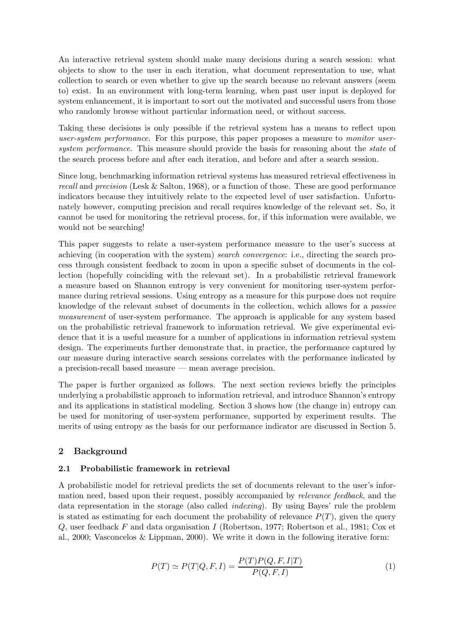An interactive retrieval system should make many decisions during a search session: what objects to show to the user in each iteration, what document representation to use, what collection to search or even whether to give up the search because no relevant answers (seem to) exist. In an environment with long-term learning, when past user input is deployed for system enhancement, it is important to sort out the motivated and successful users from those who randomly browse without particular information need, or without success.

Taking these decisions is only possible if the retrieval system has a means to reflect upon user-system performance. For this purpose, this paper proposes a measure to monitor usersystem performance. This measure should provide the basis for reasoning about the *state* of the search process before and after each iteration, and before and after a search session.

Since long, benchmarking information retrieval systems has measured retrieval effectiveness in recall and precision (Lesk & Salton, 1968), or a function of those. These are good performance indicators because they intuitively relate to the expected level of user satisfaction. Unfortunately however, computing precision and recall requires knowledge of the relevant set. So, it cannot be used for monitoring the retrieval process, for, if this information were available, we would not be searching!

This paper suggests to relate a user-system performance measure to the user's success at achieving (in cooperation with the system) search convergence: i.e., directing the search process through consistent feedback to zoom in upon a specific subset of documents in the collection (hopefully coinciding with the relevant set). In a probabilistic retrieval framework a measure based on Shannon entropy is very convenient for monitoring user-system performance during retrieval sessions. Using entropy as a measure for this purpose does not require knowledge of the relevant subset of documents in the collection, wchich allows for a passive measurement of user-system performance. The approach is applicable for any system based on the probabilistic retrieval framework to information retrieval. We give experimental evidence that it is a useful measure for a number of applications in information retrieval system design. The experiments further demonstrate that, in practice, the performance captured by our measure during interactive search sessions correlates with the performance indicated by a precision-recall based measure — mean average precision.

The paper is further organized as follows. The next section reviews briefly the principles underlying a probabilistic approach to information retrieval, and introduce Shannon's entropy and its applications in statistical modeling. Section 3 shows how (the change in) entropy can be used for monitoring of user-system performance, supported by experiment results. The merits of using entropy as the basis for our performance indicator are discussed in Section 5.

## 2 Background

#### 2.1 Probabilistic framework in retrieval

A probabilistic model for retrieval predicts the set of documents relevant to the user's information need, based upon their request, possibly accompanied by relevance feedback, and the data representation in the storage (also called indexing). By using Bayes' rule the problem is stated as estimating for each document the probability of relevance  $P(T)$ , given the query Q, user feedback F and data organisation I (Robertson, 1977; Robertson et al., 1981; Cox et al., 2000; Vasconcelos & Lippman, 2000). We write it down in the following iterative form:

$$
P(T) \simeq P(T|Q, F, I) = \frac{P(T)P(Q, F, I|T)}{P(Q, F, I)}
$$
\n(1)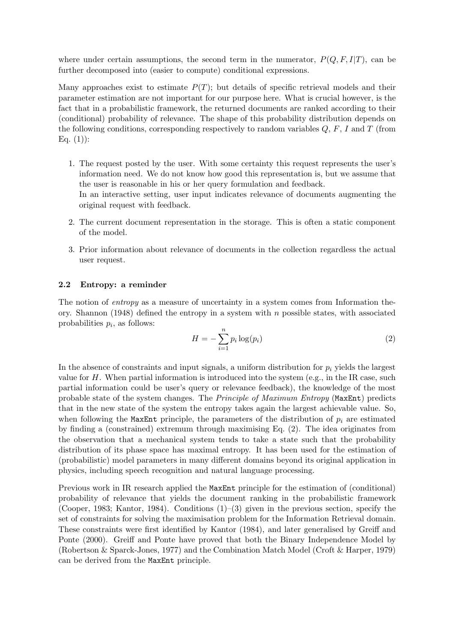where under certain assumptions, the second term in the numerator,  $P(Q, F, I|T)$ , can be further decomposed into (easier to compute) conditional expressions.

Many approaches exist to estimate  $P(T)$ ; but details of specific retrieval models and their parameter estimation are not important for our purpose here. What is crucial however, is the fact that in a probabilistic framework, the returned documents are ranked according to their (conditional) probability of relevance. The shape of this probability distribution depends on the following conditions, corresponding respectively to random variables  $Q, F, I$  and  $T$  (from  $Eq. (1)$ :

- 1. The request posted by the user. With some certainty this request represents the user's information need. We do not know how good this representation is, but we assume that the user is reasonable in his or her query formulation and feedback. In an interactive setting, user input indicates relevance of documents augmenting the original request with feedback.
- 2. The current document representation in the storage. This is often a static component of the model.
- 3. Prior information about relevance of documents in the collection regardless the actual user request.

#### 2.2 Entropy: a reminder

The notion of *entropy* as a measure of uncertainty in a system comes from Information theory. Shannon (1948) defined the entropy in a system with  $n$  possible states, with associated probabilities  $p_i$ , as follows:

$$
H = -\sum_{i=1}^{n} p_i \log(p_i)
$$
\n(2)

In the absence of constraints and input signals, a uniform distribution for  $p_i$  yields the largest value for  $H$ . When partial information is introduced into the system (e.g., in the IR case, such partial information could be user's query or relevance feedback), the knowledge of the most probable state of the system changes. The Principle of Maximum Entropy (MaxEnt) predicts that in the new state of the system the entropy takes again the largest achievable value. So, when following the MaxEnt principle, the parameters of the distribution of  $p_i$  are estimated by finding a (constrained) extremum through maximising Eq. (2). The idea originates from the observation that a mechanical system tends to take a state such that the probability distribution of its phase space has maximal entropy. It has been used for the estimation of (probabilistic) model parameters in many different domains beyond its original application in physics, including speech recognition and natural language processing.

Previous work in IR research applied the MaxEnt principle for the estimation of (conditional) probability of relevance that yields the document ranking in the probabilistic framework (Cooper, 1983; Kantor, 1984). Conditions  $(1)$ – $(3)$  given in the previous section, specify the set of constraints for solving the maximisation problem for the Information Retrieval domain. These constraints were first identified by Kantor (1984), and later generalised by Greiff and Ponte (2000). Greiff and Ponte have proved that both the Binary Independence Model by (Robertson & Sparck-Jones, 1977) and the Combination Match Model (Croft & Harper, 1979) can be derived from the MaxEnt principle.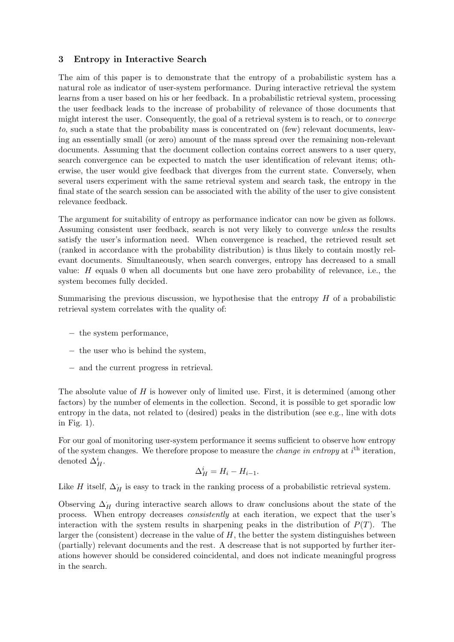### 3 Entropy in Interactive Search

The aim of this paper is to demonstrate that the entropy of a probabilistic system has a natural role as indicator of user-system performance. During interactive retrieval the system learns from a user based on his or her feedback. In a probabilistic retrieval system, processing the user feedback leads to the increase of probability of relevance of those documents that might interest the user. Consequently, the goal of a retrieval system is to reach, or to converge to, such a state that the probability mass is concentrated on (few) relevant documents, leaving an essentially small (or zero) amount of the mass spread over the remaining non-relevant documents. Assuming that the document collection contains correct answers to a user query, search convergence can be expected to match the user identification of relevant items; otherwise, the user would give feedback that diverges from the current state. Conversely, when several users experiment with the same retrieval system and search task, the entropy in the final state of the search session can be associated with the ability of the user to give consistent relevance feedback.

The argument for suitability of entropy as performance indicator can now be given as follows. Assuming consistent user feedback, search is not very likely to converge unless the results satisfy the user's information need. When convergence is reached, the retrieved result set (ranked in accordance with the probability distribution) is thus likely to contain mostly relevant documents. Simultaneously, when search converges, entropy has decreased to a small value: H equals 0 when all documents but one have zero probability of relevance, i.e., the system becomes fully decided.

Summarising the previous discussion, we hypothesise that the entropy  $H$  of a probabilistic retrieval system correlates with the quality of:

- − the system performance,
- − the user who is behind the system,
- − and the current progress in retrieval.

The absolute value of  $H$  is however only of limited use. First, it is determined (among other factors) by the number of elements in the collection. Second, it is possible to get sporadic low entropy in the data, not related to (desired) peaks in the distribution (see e.g., line with dots in Fig. 1).

For our goal of monitoring user-system performance it seems sufficient to observe how entropy of the system changes. We therefore propose to measure the *change in entropy* at  $i^{\text{th}}$  iteration, denoted  $\Delta_H^i$ .

$$
\Delta_H^i = H_i - H_{i-1}.
$$

Like H itself,  $\Delta_H$  is easy to track in the ranking process of a probabilistic retrieval system.

Observing  $\Delta_H$  during interactive search allows to draw conclusions about the state of the process. When entropy decreases consistently at each iteration, we expect that the user's interaction with the system results in sharpening peaks in the distribution of  $P(T)$ . The larger the (consistent) decrease in the value of  $H$ , the better the system distinguishes between (partially) relevant documents and the rest. A descrease that is not supported by further iterations however should be considered coincidental, and does not indicate meaningful progress in the search.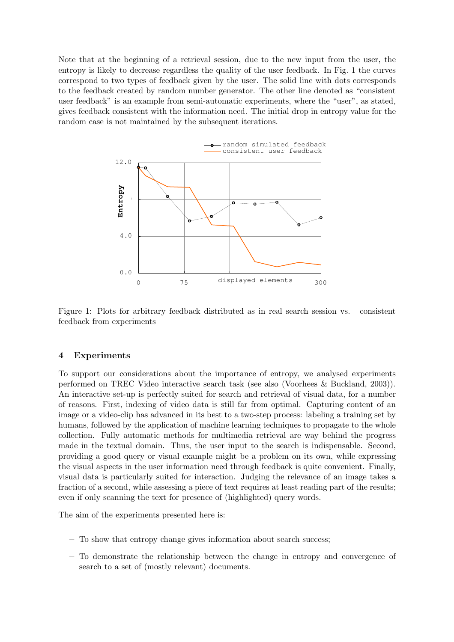Note that at the beginning of a retrieval session, due to the new input from the user, the entropy is likely to decrease regardless the quality of the user feedback. In Fig. 1 the curves correspond to two types of feedback given by the user. The solid line with dots corresponds to the feedback created by random number generator. The other line denoted as "consistent user feedback" is an example from semi-automatic experiments, where the "user", as stated, gives feedback consistent with the information need. The initial drop in entropy value for the random case is not maintained by the subsequent iterations.



Figure 1: Plots for arbitrary feedback distributed as in real search session vs. consistent feedback from experiments

#### 4 Experiments

To support our considerations about the importance of entropy, we analysed experiments performed on TREC Video interactive search task (see also (Voorhees & Buckland, 2003)). An interactive set-up is perfectly suited for search and retrieval of visual data, for a number of reasons. First, indexing of video data is still far from optimal. Capturing content of an image or a video-clip has advanced in its best to a two-step process: labeling a training set by humans, followed by the application of machine learning techniques to propagate to the whole collection. Fully automatic methods for multimedia retrieval are way behind the progress made in the textual domain. Thus, the user input to the search is indispensable. Second, providing a good query or visual example might be a problem on its own, while expressing the visual aspects in the user information need through feedback is quite convenient. Finally, visual data is particularly suited for interaction. Judging the relevance of an image takes a fraction of a second, while assessing a piece of text requires at least reading part of the results; even if only scanning the text for presence of (highlighted) query words.

The aim of the experiments presented here is:

- − To show that entropy change gives information about search success;
- − To demonstrate the relationship between the change in entropy and convergence of search to a set of (mostly relevant) documents.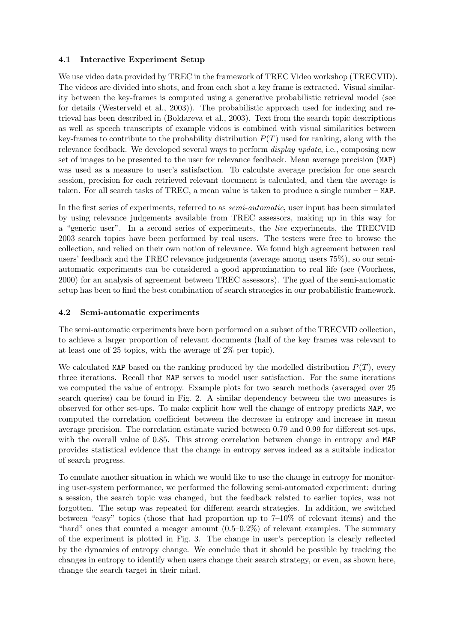#### 4.1 Interactive Experiment Setup

We use video data provided by TREC in the framework of TREC Video workshop (TRECVID). The videos are divided into shots, and from each shot a key frame is extracted. Visual similarity between the key-frames is computed using a generative probabilistic retrieval model (see for details (Westerveld et al., 2003)). The probabilistic approach used for indexing and retrieval has been described in (Boldareva et al., 2003). Text from the search topic descriptions as well as speech transcripts of example videos is combined with visual similarities between key-frames to contribute to the probability distribution  $P(T)$  used for ranking, along with the relevance feedback. We developed several ways to perform display update, i.e., composing new set of images to be presented to the user for relevance feedback. Mean average precision (MAP) was used as a measure to user's satisfaction. To calculate average precision for one search session, precision for each retrieved relevant document is calculated, and then the average is taken. For all search tasks of TREC, a mean value is taken to produce a single number – MAP.

In the first series of experiments, referred to as semi-automatic, user input has been simulated by using relevance judgements available from TREC assessors, making up in this way for a "generic user". In a second series of experiments, the live experiments, the TRECVID 2003 search topics have been performed by real users. The testers were free to browse the collection, and relied on their own notion of relevance. We found high agreement between real users' feedback and the TREC relevance judgements (average among users 75%), so our semiautomatic experiments can be considered a good approximation to real life (see (Voorhees, 2000) for an analysis of agreement between TREC assessors). The goal of the semi-automatic setup has been to find the best combination of search strategies in our probabilistic framework.

## 4.2 Semi-automatic experiments

The semi-automatic experiments have been performed on a subset of the TRECVID collection, to achieve a larger proportion of relevant documents (half of the key frames was relevant to at least one of 25 topics, with the average of 2% per topic).

We calculated MAP based on the ranking produced by the modelled distribution  $P(T)$ , every three iterations. Recall that MAP serves to model user satisfaction. For the same iterations we computed the value of entropy. Example plots for two search methods (averaged over 25 search queries) can be found in Fig. 2. A similar dependency between the two measures is observed for other set-ups. To make explicit how well the change of entropy predicts MAP, we computed the correlation coefficient between the decrease in entropy and increase in mean average precision. The correlation estimate varied between 0.79 and 0.99 for different set-ups, with the overall value of 0.85. This strong correlation between change in entropy and MAP provides statistical evidence that the change in entropy serves indeed as a suitable indicator of search progress.

To emulate another situation in which we would like to use the change in entropy for monitoring user-system performance, we performed the following semi-automated experiment: during a session, the search topic was changed, but the feedback related to earlier topics, was not forgotten. The setup was repeated for different search strategies. In addition, we switched between "easy" topics (those that had proportion up to 7–10% of relevant items) and the "hard" ones that counted a meager amount  $(0.5-0.2\%)$  of relevant examples. The summary of the experiment is plotted in Fig. 3. The change in user's perception is clearly reflected by the dynamics of entropy change. We conclude that it should be possible by tracking the changes in entropy to identify when users change their search strategy, or even, as shown here, change the search target in their mind.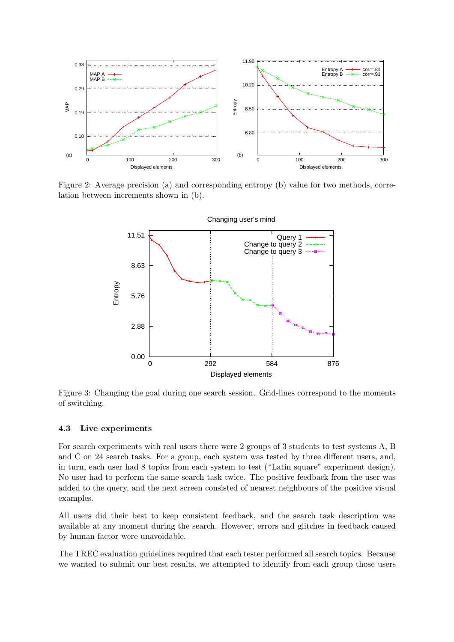

Figure 2: Average precision (a) and corresponding entropy (b) value for two methods, correlation between increments shown in (b).



Figure 3: Changing the goal during one search session. Grid-lines correspond to the moments of switching.

#### 4.3 Live experiments

For search experiments with real users there were 2 groups of 3 students to test systems A, B and C on 24 search tasks. For a group, each system was tested by three different users, and, in turn, each user had 8 topics from each system to test ("Latin square" experiment design). No user had to perform the same search task twice. The positive feedback from the user was added to the query, and the next screen consisted of nearest neighbours of the positive visual examples.

All users did their best to keep consistent feedback, and the search task description was available at any moment during the search. However, errors and glitches in feedback caused by human factor were unavoidable.

The TREC evaluation guidelines required that each tester performed all search topics. Because we wanted to submit our best results, we attempted to identify from each group those users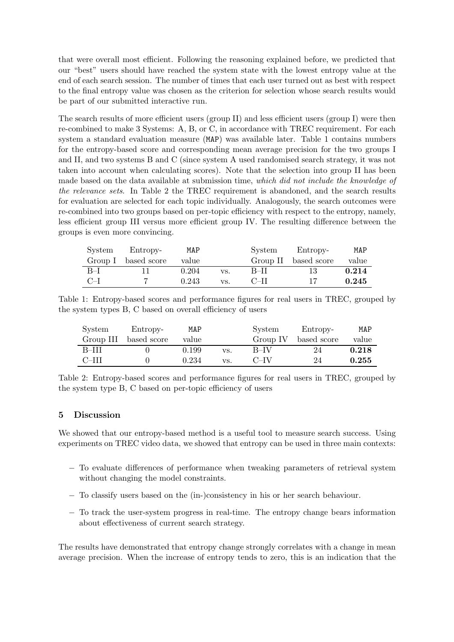that were overall most efficient. Following the reasoning explained before, we predicted that our "best" users should have reached the system state with the lowest entropy value at the end of each search session. The number of times that each user turned out as best with respect to the final entropy value was chosen as the criterion for selection whose search results would be part of our submitted interactive run.

The search results of more efficient users (group II) and less efficient users (group I) were then re-combined to make 3 Systems: A, B, or C, in accordance with TREC requirement. For each system a standard evaluation measure (MAP) was available later. Table 1 contains numbers for the entropy-based score and corresponding mean average precision for the two groups I and II, and two systems B and C (since system A used randomised search strategy, it was not taken into account when calculating scores). Note that the selection into group II has been made based on the data available at submission time, which did not include the knowledge of the relevance sets. In Table 2 the TREC requirement is abandoned, and the search results for evaluation are selected for each topic individually. Analogously, the search outcomes were re-combined into two groups based on per-topic efficiency with respect to the entropy, namely, less efficient group III versus more efficient group IV. The resulting difference between the groups is even more convincing.

| System | Entropy-            | MAP   |     | System   | Entropy-    | MAP   |
|--------|---------------------|-------|-----|----------|-------------|-------|
|        | Group I based score | value |     | Group II | based score | value |
| $B-I$  |                     | 0.204 | VS. | B-II     | 13          | 0.214 |
| $C-I$  |                     | 0.243 | VS. | C-II     |             | 0.245 |

| Table 1: Entropy-based scores and performance figures for real users in TREC, grouped by |  |  |  |  |
|------------------------------------------------------------------------------------------|--|--|--|--|
| the system types B, C based on overall efficiency of users                               |  |  |  |  |

| System    | Entropy-    | MAP   |     | System   | Entropy-    | MAP   |
|-----------|-------------|-------|-----|----------|-------------|-------|
| Group III | based score | value |     | Group IV | based score | value |
| $B-III$   |             | 0.199 | VS. | B–IV     | 24          | 0.218 |
| $C=III$   |             | 0.234 | VS. | $C=IV$   | 24          | 0.255 |

Table 2: Entropy-based scores and performance figures for real users in TREC, grouped by the system type B, C based on per-topic efficiency of users

#### 5 Discussion

We showed that our entropy-based method is a useful tool to measure search success. Using experiments on TREC video data, we showed that entropy can be used in three main contexts:

- − To evaluate differences of performance when tweaking parameters of retrieval system without changing the model constraints.
- − To classify users based on the (in-)consistency in his or her search behaviour.
- − To track the user-system progress in real-time. The entropy change bears information about effectiveness of current search strategy.

The results have demonstrated that entropy change strongly correlates with a change in mean average precision. When the increase of entropy tends to zero, this is an indication that the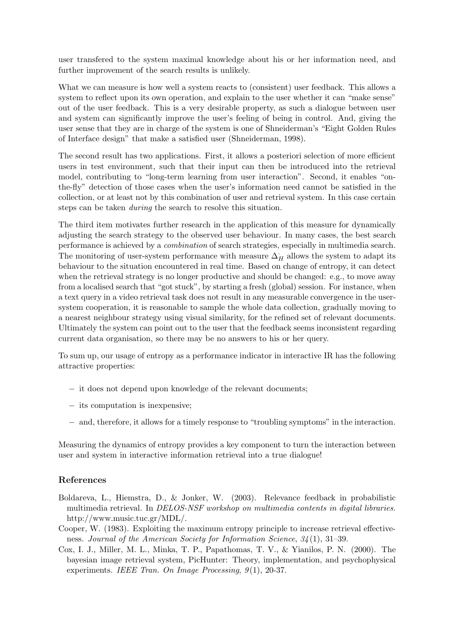user transfered to the system maximal knowledge about his or her information need, and further improvement of the search results is unlikely.

What we can measure is how well a system reacts to (consistent) user feedback. This allows a system to reflect upon its own operation, and explain to the user whether it can "make sense" out of the user feedback. This is a very desirable property, as such a dialogue between user and system can significantly improve the user's feeling of being in control. And, giving the user sense that they are in charge of the system is one of Shneiderman's "Eight Golden Rules of Interface design" that make a satisfied user (Shneiderman, 1998).

The second result has two applications. First, it allows a posteriori selection of more efficient users in test environment, such that their input can then be introduced into the retrieval model, contributing to "long-term learning from user interaction". Second, it enables "onthe-fly" detection of those cases when the user's information need cannot be satisfied in the collection, or at least not by this combination of user and retrieval system. In this case certain steps can be taken during the search to resolve this situation.

The third item motivates further research in the application of this measure for dynamically adjusting the search strategy to the observed user behaviour. In many cases, the best search performance is achieved by a combination of search strategies, especially in multimedia search. The monitoring of user-system performance with measure  $\Delta_H^+$  allows the system to adapt its behaviour to the situation encountered in real time. Based on change of entropy, it can detect when the retrieval strategy is no longer productive and should be changed: e.g., to move away from a localised search that "got stuck", by starting a fresh (global) session. For instance, when a text query in a video retrieval task does not result in any measurable convergence in the usersystem cooperation, it is reasonable to sample the whole data collection, gradually moving to a nearest neighbour strategy using visual similarity, for the refined set of relevant documents. Ultimately the system can point out to the user that the feedback seems inconsistent regarding current data organisation, so there may be no answers to his or her query.

To sum up, our usage of entropy as a performance indicator in interactive IR has the following attractive properties:

- − it does not depend upon knowledge of the relevant documents;
- − its computation is inexpensive;
- − and, therefore, it allows for a timely response to "troubling symptoms" in the interaction.

Measuring the dynamics of entropy provides a key component to turn the interaction between user and system in interactive information retrieval into a true dialogue!

#### References

- Boldareva, L., Hiemstra, D., & Jonker, W. (2003). Relevance feedback in probabilistic multimedia retrieval. In DELOS-NSF workshop on multimedia contents in digital libraries. http://www.music.tuc.gr/MDL/.
- Cooper, W. (1983). Exploiting the maximum entropy principle to increase retrieval effectiveness. Journal of the American Society for Information Science, 34(1), 31–39.
- Cox, I. J., Miller, M. L., Minka, T. P., Papathomas, T. V., & Yianilos, P. N. (2000). The bayesian image retrieval system, PicHunter: Theory, implementation, and psychophysical experiments. IEEE Tran. On Image Processing, 9(1), 20-37.